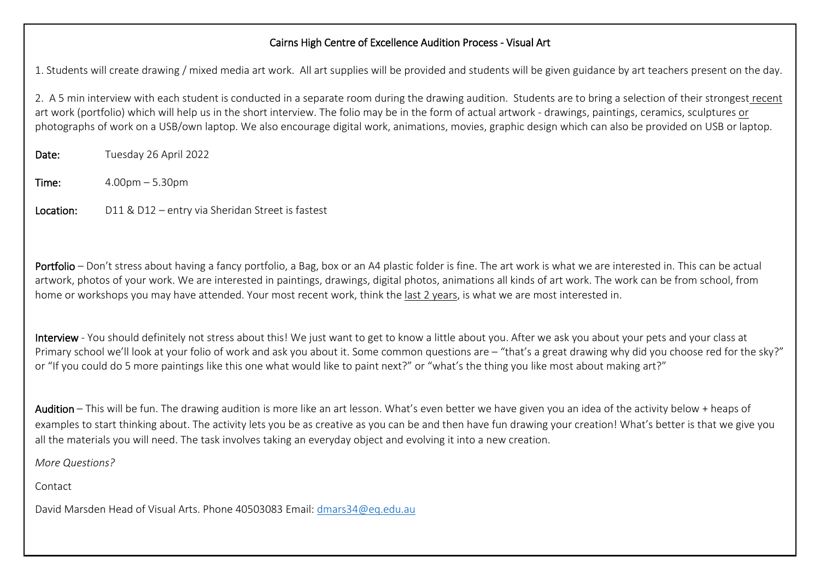#### Cairns High Centre of Excellence Audition Process - Visual Art

1. Students will create drawing / mixed media art work. All art supplies will be provided and students will be given guidance by art teachers present on the day.

2. A 5 min interview with each student is conducted in a separate room during the drawing audition. Students are to bring a selection of their strongest recent art work (portfolio) which will help us in the short interview. The folio may be in the form of actual artwork - drawings, paintings, ceramics, sculptures or photographs of work on a USB/own laptop. We also encourage digital work, animations, movies, graphic design which can also be provided on USB or laptop.

Date: Tuesday 26 April 2022

Time: 4.00pm – 5.30pm

Location: D11 & D12 – entry via Sheridan Street is fastest

Portfolio – Don't stress about having a fancy portfolio, a Bag, box or an A4 plastic folder is fine. The art work is what we are interested in. This can be actual artwork, photos of your work. We are interested in paintings, drawings, digital photos, animations all kinds of art work. The work can be from school, from home or workshops you may have attended. Your most recent work, think the last 2 years, is what we are most interested in.

Interview - You should definitely not stress about this! We just want to get to know a little about you. After we ask you about your pets and your class at Primary school we'll look at your folio of work and ask you about it. Some common questions are – "that's a great drawing why did you choose red for the sky?" or "If you could do 5 more paintings like this one what would like to paint next?" or "what's the thing you like most about making art?"

Audition – This will be fun. The drawing audition is more like an art lesson. What's even better we have given you an idea of the activity below + heaps of examples to start thinking about. The activity lets you be as creative as you can be and then have fun drawing your creation! What's better is that we give you all the materials you will need. The task involves taking an everyday object and evolving it into a new creation.

*More Questions?* 

**Contact** 

David Marsden Head of Visual Arts. Phone 40503083 Email: [dmars34@eq.edu.au](mailto:dmars34@eq.edu.au)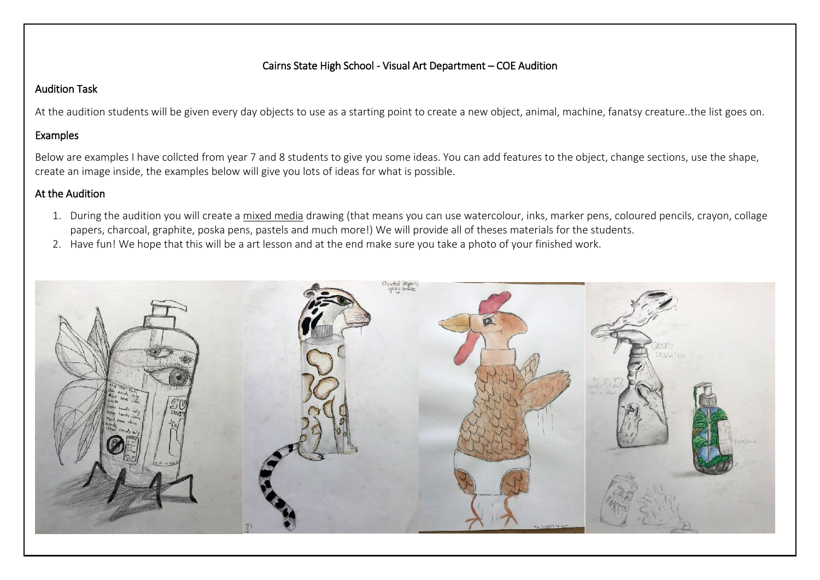### Cairns State High School - Visual Art Department – COE Audition

### Audition Task

At the audition students will be given every day objects to use as a starting point to create a new object, animal, machine, fanatsy creature..the list goes on.

# Examples

Below are examples I have collcted from year 7 and 8 students to give you some ideas. You can add features to the object, change sections, use the shape, create an image inside, the examples below will give you lots of ideas for what is possible.

# At the Audition

- 1. During the audition you will create a mixed media drawing (that means you can use watercolour, inks, marker pens, coloured pencils, crayon, collage papers, charcoal, graphite, poska pens, pastels and much more!) We will provide all of theses materials for the students.
- 2. Have fun! We hope that this will be a art lesson and at the end make sure you take a photo of your finished work.

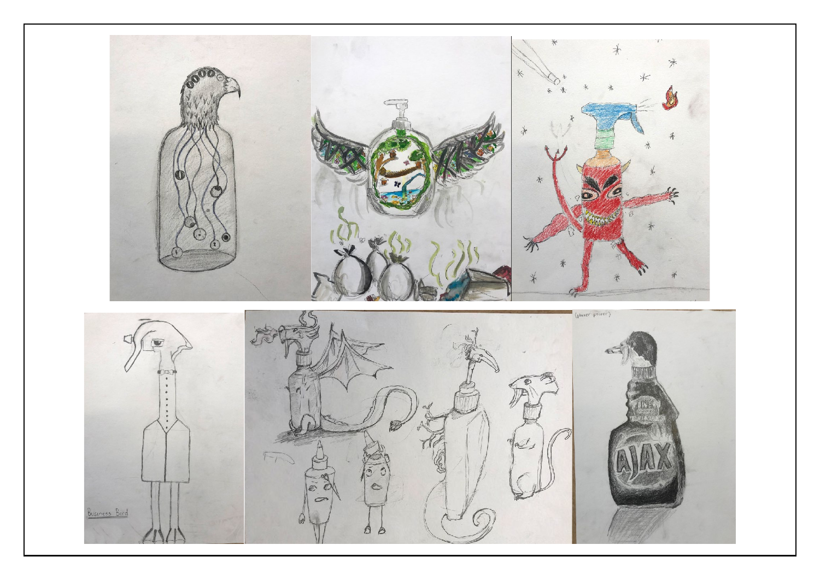